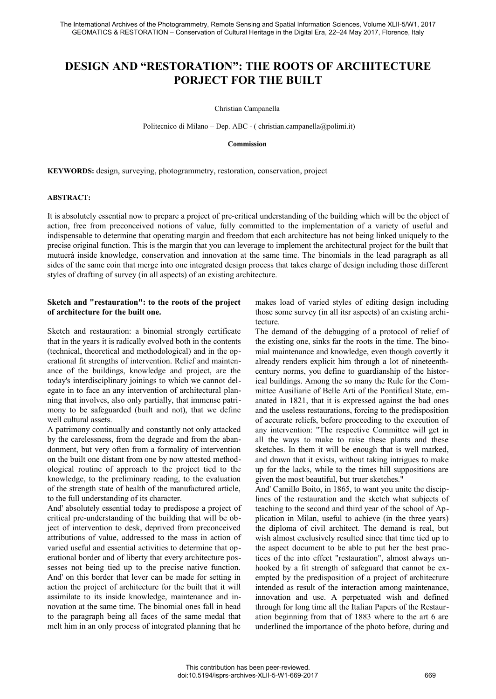# **DESIGN AND "RESTORATION": THE ROOTS OF ARCHITECTURE PORJECT FOR THE BUILT**

Christian Campanella

Politecnico di Milano – Dep. ABC - ( christian.campanella@polimi.it)

### **Commission**

**KEYWORDS:** design, surveying, photogrammetry, restoration, conservation, project

#### **ABSTRACT:**

It is absolutely essential now to prepare a project of pre-critical understanding of the building which will be the object of action, free from preconceived notions of value, fully committed to the implementation of a variety of useful and indispensable to determine that operating margin and freedom that each architecture has not being linked uniquely to the precise original function. This is the margin that you can leverage to implement the architectural project for the built that mutuerà inside knowledge, conservation and innovation at the same time. The binomials in the lead paragraph as all sides of the same coin that merge into one integrated design process that takes charge of design including those different styles of drafting of survey (in all aspects) of an existing architecture.

## **Sketch and "restauration": to the roots of the project of architecture for the built one.**

Sketch and restauration: a binomial strongly certificate that in the years it is radically evolved both in the contents (technical, theoretical and methodological) and in the operational fit strengths of intervention. Relief and maintenance of the buildings, knowledge and project, are the today's interdisciplinary joinings to which we cannot delegate in to face an any intervention of architectural planning that involves, also only partially, that immense patrimony to be safeguarded (built and not), that we define well cultural assets.

A patrimony continually and constantly not only attacked by the carelessness, from the degrade and from the abandonment, but very often from a formality of intervention on the built one distant from one by now attested methodological routine of approach to the project tied to the knowledge, to the preliminary reading, to the evaluation of the strength state of health of the manufactured article, to the full understanding of its character.

And' absolutely essential today to predispose a project of critical pre-understanding of the building that will be object of intervention to desk, deprived from preconceived attributions of value, addressed to the mass in action of varied useful and essential activities to determine that operational border and of liberty that every architecture possesses not being tied up to the precise native function. And' on this border that lever can be made for setting in action the project of architecture for the built that it will assimilate to its inside knowledge, maintenance and innovation at the same time. The binomial ones fall in head to the paragraph being all faces of the same medal that melt him in an only process of integrated planning that he

makes load of varied styles of editing design including those some survey (in all itsr aspects) of an existing architecture.

The demand of the debugging of a protocol of relief of the existing one, sinks far the roots in the time. The binomial maintenance and knowledge, even though covertly it already renders explicit him through a lot of nineteenthcentury norms, you define to guardianship of the historical buildings. Among the so many the Rule for the Committee Ausiliarie of Belle Arti of the Pontifical State, emanated in 1821, that it is expressed against the bad ones and the useless restaurations, forcing to the predisposition of accurate reliefs, before proceeding to the execution of any intervention: "The respective Committee will get in all the ways to make to raise these plants and these sketches. In them it will be enough that is well marked, and drawn that it exists, without taking intrigues to make up for the lacks, while to the times hill suppositions are given the most beautiful, but truer sketches."

And' Camillo Boito, in 1865, to want you unite the disciplines of the restauration and the sketch what subjects of teaching to the second and third year of the school of Application in Milan, useful to achieve (in the three years) the diploma of civil architect. The demand is real, but wish almost exclusively resulted since that time tied up to the aspect document to be able to put her the best practices of the into effect "restauration", almost always unhooked by a fit strength of safeguard that cannot be exempted by the predisposition of a project of architecture intended as result of the interaction among maintenance, innovation and use. A perpetuated wish and defined through for long time all the Italian Papers of the Restauration beginning from that of 1883 where to the art 6 are underlined the importance of the photo before, during and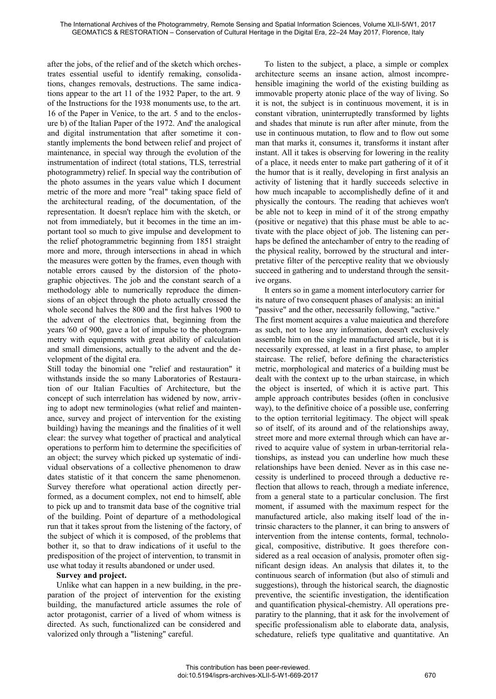after the jobs, of the relief and of the sketch which orchestrates essential useful to identify remaking, consolidations, changes removals, destructions. The same indications appear to the art 11 of the 1932 Paper, to the art. 9 of the Instructions for the 1938 monuments use, to the art. 16 of the Paper in Venice, to the art. 5 and to the enclosure b) of the Italian Paper of the 1972. And' the analogical and digital instrumentation that after sometime it constantly implements the bond between relief and project of maintenance, in special way through the evolution of the instrumentation of indirect (total stations, TLS, terrestrial photogrammetry) relief. In special way the contribution of the photo assumes in the years value which I document metric of the more and more "real" taking space field of the architectural reading, of the documentation, of the representation. It doesn't replace him with the sketch, or not from immediately, but it becomes in the time an important tool so much to give impulse and development to the relief photogrammetric beginning from 1851 straight more and more, through intersections in ahead in which the measures were gotten by the frames, even though with notable errors caused by the distorsion of the photographic objectives. The job and the constant search of a methodology able to numerically reproduce the dimensions of an object through the photo actually crossed the whole second halves the 800 and the first halves 1900 to the advent of the electronics that, beginning from the years '60 of 900, gave a lot of impulse to the photogrammetry with equipments with great ability of calculation and small dimensions, actually to the advent and the development of the digital era.

Still today the binomial one "relief and restauration" it withstands inside the so many Laboratories of Restauration of our Italian Faculties of Architecture, but the concept of such interrelation has widened by now, arriving to adopt new terminologies (what relief and maintenance, survey and project of intervention for the existing building) having the meanings and the finalities of it well clear: the survey what together of practical and analytical operations to perform him to determine the specificities of an object; the survey which picked up systematic of individual observations of a collective phenomenon to draw dates statistic of it that concern the same phenomenon. Survey therefore what operational action directly performed, as a document complex, not end to himself, able to pick up and to transmit data base of the cognitive trial of the building. Point of departure of a methodological run that it takes sprout from the listening of the factory, of the subject of which it is composed, of the problems that bother it, so that to draw indications of it useful to the predisposition of the project of intervention, to transmit in use what today it results abandoned or under used.

## **Survey and project.**

Unlike what can happen in a new building, in the preparation of the project of intervention for the existing building, the manufactured article assumes the role of actor protagonist, carrier of a lived of whom witness is directed. As such, functionalized can be considered and valorized only through a "listening" careful.

To listen to the subject, a place, a simple or complex architecture seems an insane action, almost incomprehensible imagining the world of the existing building as immovable property atonic place of the way of living. So it is not, the subject is in continuous movement, it is in constant vibration, uninterruptedly transformed by lights and shades that minute is run after after minute, from the use in continuous mutation, to flow and to flow out some man that marks it, consumes it, transforms it instant after instant. All it takes is observing for lowering in the reality of a place, it needs enter to make part gathering of it of it the humor that is it really, developing in first analysis an activity of listening that it hardly succeeds selective in how much incapable to accomplishedly define of it and physically the contours. The reading that achieves won't be able not to keep in mind of it of the strong empathy (positive or negative) that this phase must be able to activate with the place object of job. The listening can perhaps be defined the antechamber of entry to the reading of the physical reality, borrowed by the structural and interpretative filter of the perceptive reality that we obviously succeed in gathering and to understand through the sensitive organs.

It enters so in game a moment interlocutory carrier for its nature of two consequent phases of analysis: an initial "passive" and the other, necessarily following, "active." The first moment acquires a value maieutica and therefore as such, not to lose any information, doesn't exclusively assemble him on the single manufactured article, but it is necessarily expressed, at least in a first phase, to ampler staircase. The relief, before defining the characteristics metric, morphological and materics of a building must be dealt with the context up to the urban staircase, in which the object is inserted, of which it is active part. This ample approach contributes besides (often in conclusive way), to the definitive choice of a possible use, conferring to the option territorial legitimacy. The object will speak so of itself, of its around and of the relationships away, street more and more external through which can have arrived to acquire value of system in urban-territorial relationships, as instead you can underline how much these relationships have been denied. Never as in this case necessity is underlined to proceed through a deductive reflection that allows to reach, through a mediate inference, from a general state to a particular conclusion. The first moment, if assumed with the maximum respect for the manufactured article, also making itself load of the intrinsic characters to the planner, it can bring to answers of intervention from the intense contents, formal, technological, compositive, distributive. It goes therefore considered as a real occasion of analysis, promoter often significant design ideas. An analysis that dilates it, to the continuous search of information (but also of stimuli and suggestions), through the historical search, the diagnostic preventive, the scientific investigation, the identification and quantification physical-chemistry. All operations preparatiry to the planning, that it ask for the involvement of specific professionalism able to elaborate data, analysis, schedature, reliefs type qualitative and quantitative. An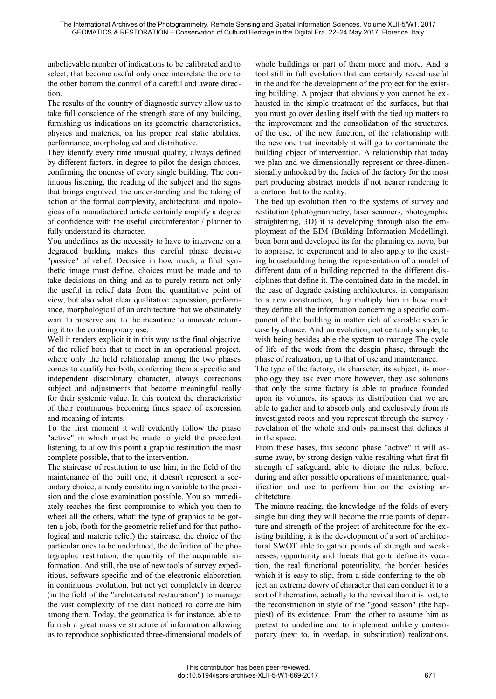unbelievable number of indications to be calibrated and to select, that become useful only once interrelate the one to the other bottom the control of a careful and aware direction.

The results of the country of diagnostic survey allow us to take full conscience of the strength state of any building, furnishing us indications on its geometric characteristics, physics and materics, on his proper real static abilities, performance, morphological and distributive.

They identify every time unusual quality, always defined by different factors, in degree to pilot the design choices, confirming the oneness of every single building. The continuous listening, the reading of the subject and the signs that brings engraved, the understanding and the taking of action of the formal complexity, architectural and tipologicas of a manufactured article certainly amplify a degree of confidence with the useful circumferentor / planner to fully understand its character.

You underlines as the necessity to have to intervene on a degraded building makes this careful phase decisive "passive" of relief. Decisive in how much, a final synthetic image must define, choices must be made and to take decisions on thing and as to purely return not only the useful in relief data from the quantitative point of view, but also what clear qualitative expression, performance, morphological of an architecture that we obstinately want to preserve and to the meantime to innovate returning it to the contemporary use.

Well it renders explicit it in this way as the final objective of the relief both that to meet in an operational project, where only the hold relationship among the two phases comes to qualify her both, conferring them a specific and independent disciplinary character, always corrections subject and adjustments that become meaningful really for their systemic value. In this context the characteristic of their continuous becoming finds space of expression and meaning of intents.

To the first moment it will evidently follow the phase "active" in which must be made to yield the precedent listening, to allow this point a graphic restitution the most complete possible, that to the intervention.

The staircase of restitution to use him, in the field of the maintenance of the built one, it doesn't represent a secondary choice, already constituting a variable to the precision and the close examination possible. You so immediately reaches the first compromise to which you then to wheel all the others, what: the type of graphics to be gotten a job, (both for the geometric relief and for that pathological and materic relief) the staircase, the choice of the particular ones to be underlined, the definition of the photographic restitution, the quantity of the acquirable information. And still, the use of new tools of survey expeditious, software specific and of the electronic elaboration in continuous evolution, but not yet completely in degree (in the field of the "architectural restauration") to manage the vast complexity of the data noticed to correlate him among them. Today, the geomatica is for instance, able to furnish a great massive structure of information allowing us to reproduce sophisticated three-dimensional models of whole buildings or part of them more and more. And' a tool still in full evolution that can certainly reveal useful in the and for the development of the project for the existing building. A project that obviously you cannot be exhausted in the simple treatment of the surfaces, but that you must go over dealing itself with the tied up matters to the improvement and the consolidation of the structures, of the use, of the new function, of the relationship with the new one that inevitably it will go to contaminate the building object of intervention. A relationship that today we plan and we dimensionally represent or three-dimensionally unhooked by the facies of the factory for the most part producing abstract models if not nearer rendering to a cartoon that to the reality.

The tied up evolution then to the systems of survey and restitution (photogrammetry, laser scanners, photographic straightening, 3D) it is developing through also the employment of the BIM (Building Information Modelling), been born and developed its for the planning ex novo, but to appraise, to experiment and to also apply to the existing housebuilding being the representation of a model of different data of a building reported to the different disciplines that define it. The contained data in the model, in the case of degrade existing architectures, in comparison to a new construction, they multiply him in how much they define all the information concerning a specific component of the building in matter rich of variable specific case by chance. And' an evolution, not certainly simple, to wish being besides able the system to manage The cycle of life of the work from the desgin phase, through the phase of realization, up to that of use and maintenance.

The type of the factory, its character, its subject, its morphology they ask even more however, they ask solutions that only the same factory is able to produce founded upon its volumes, its spaces its distribution that we are able to gather and to absorb only and exclusively from its investigated roots and you represent through the survey / revelation of the whole and only palinsest that defines it in the space.

From these bases, this second phase "active" it will assume away, by strong design value resulting what first fit strength of safeguard, able to dictate the rules, before, during and after possible operations of maintenance, qualification and use to perform him on the existing architetcture.

The minute reading, the knowledge of the folds of every single building they will become the true points of departure and strength of the project of architecture for the existing building, it is the development of a sort of architectural SWOT able to gather points of strength and weaknesses, opportunity and threats that go to define its vocation, the real functional potentiality, the border besides which it is easy to slip, from a side conferring to the object an extreme dowry of character that can conduct it to a sort of hibernation, actually to the revival than it is lost, to the reconstruction in style of the "good season" (the happiest) of its existence. From the other to assume him as pretext to underline and to implement unlikely contemporary (next to, in overlap, in substitution) realizations,